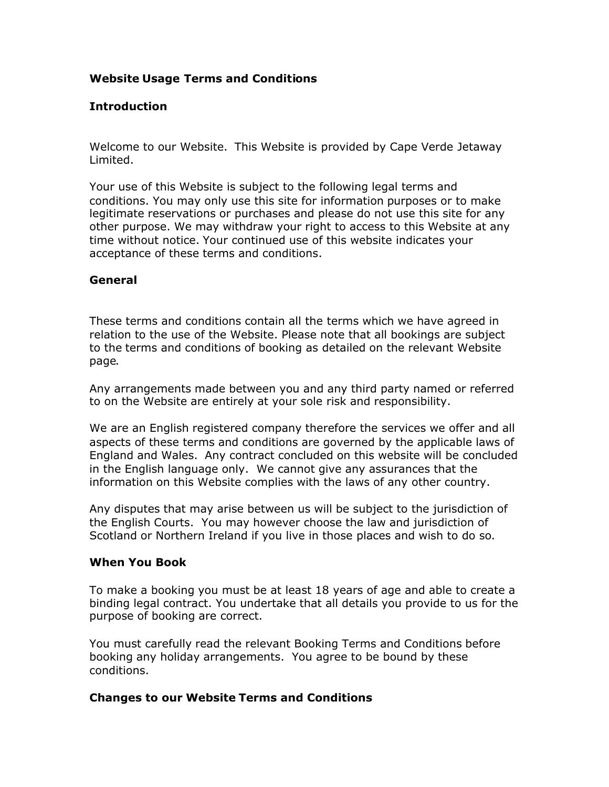# **Website Usage Terms and Conditions**

# **Introduction**

Welcome to our Website. This Website is provided by Cape Verde Jetaway Limited.

Your use of this Website is subject to the following legal terms and conditions. You may only use this site for information purposes or to make legitimate reservations or purchases and please do not use this site for any other purpose. We may withdraw your right to access to this Website at any time without notice. Your continued use of this website indicates your acceptance of these terms and conditions.

## **General**

These terms and conditions contain all the terms which we have agreed in relation to the use of the Website. Please note that all bookings are subject to the terms and conditions of booking as detailed on the relevant Website page.

Any arrangements made between you and any third party named or referred to on the Website are entirely at your sole risk and responsibility.

We are an English registered company therefore the services we offer and all aspects of these terms and conditions are governed by the applicable laws of England and Wales. Any contract concluded on this website will be concluded in the English language only. We cannot give any assurances that the information on this Website complies with the laws of any other country.

Any disputes that may arise between us will be subject to the jurisdiction of the English Courts. You may however choose the law and jurisdiction of Scotland or Northern Ireland if you live in those places and wish to do so.

#### **When You Book**

To make a booking you must be at least 18 years of age and able to create a binding legal contract. You undertake that all details you provide to us for the purpose of booking are correct.

You must carefully read the relevant Booking Terms and Conditions before booking any holiday arrangements. You agree to be bound by these conditions.

# **Changes to our Website Terms and Conditions**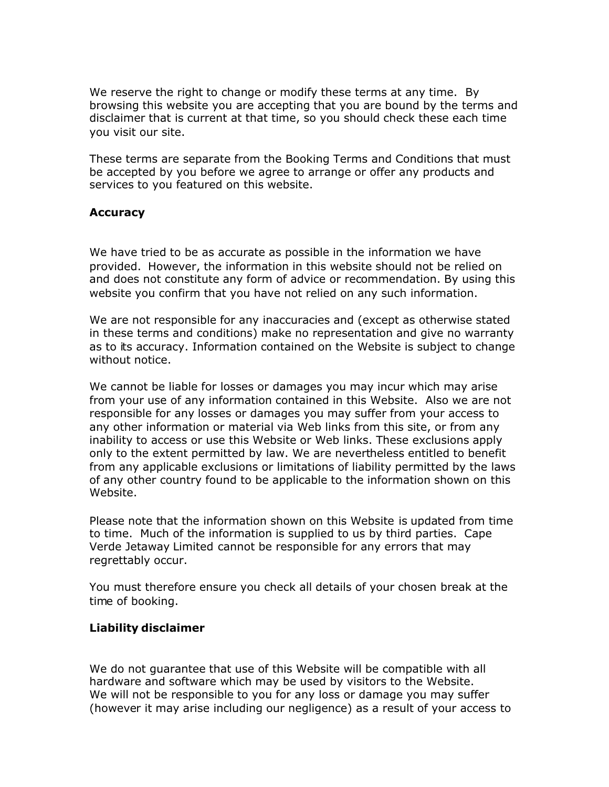We reserve the right to change or modify these terms at any time. By browsing this website you are accepting that you are bound by the terms and disclaimer that is current at that time, so you should check these each time you visit our site.

These terms are separate from the Booking Terms and Conditions that must be accepted by you before we agree to arrange or offer any products and services to you featured on this website.

## **Accuracy**

We have tried to be as accurate as possible in the information we have provided. However, the information in this website should not be relied on and does not constitute any form of advice or recommendation. By using this website you confirm that you have not relied on any such information.

We are not responsible for any inaccuracies and (except as otherwise stated in these terms and conditions) make no representation and give no warranty as to its accuracy. Information contained on the Website is subject to change without notice.

We cannot be liable for losses or damages you may incur which may arise from your use of any information contained in this Website. Also we are not responsible for any losses or damages you may suffer from your access to any other information or material via Web links from this site, or from any inability to access or use this Website or Web links. These exclusions apply only to the extent permitted by law. We are nevertheless entitled to benefit from any applicable exclusions or limitations of liability permitted by the laws of any other country found to be applicable to the information shown on this Website.

Please note that the information shown on this Website is updated from time to time. Much of the information is supplied to us by third parties. Cape Verde Jetaway Limited cannot be responsible for any errors that may regrettably occur.

You must therefore ensure you check all details of your chosen break at the time of booking.

#### **Liability disclaimer**

We do not guarantee that use of this Website will be compatible with all hardware and software which may be used by visitors to the Website. We will not be responsible to you for any loss or damage you may suffer (however it may arise including our negligence) as a result of your access to